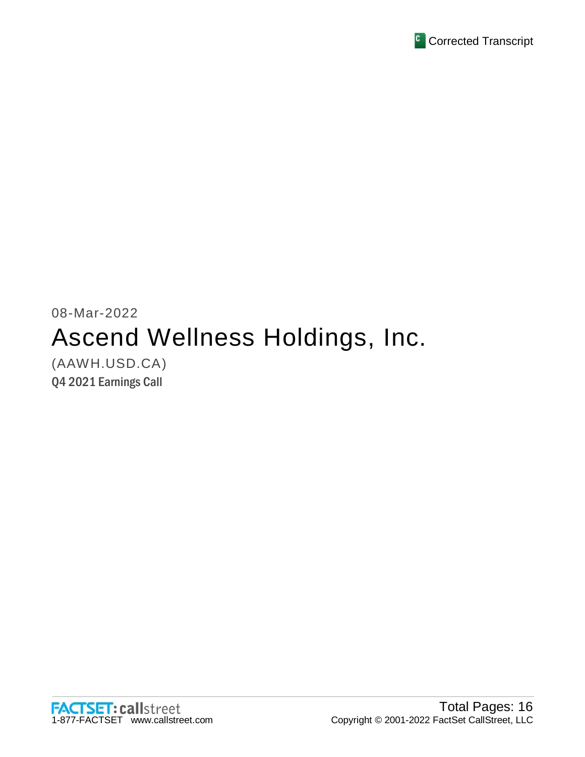

## 08-Mar-2022 Ascend Wellness Holdings, Inc. (AAWH.USD.CA)

Q4 2021 Earnings Call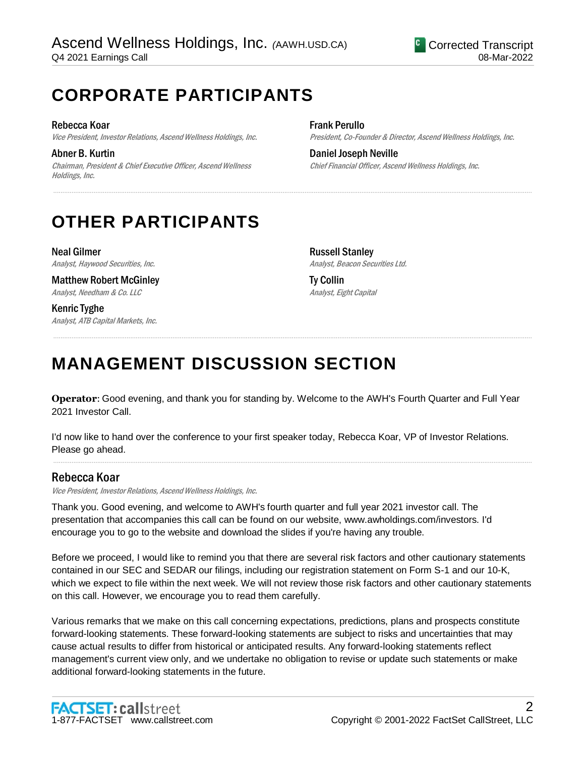## **CORPORATE PARTICIPANTS**

Rebecca Koar Vice President, Investor Relations, Ascend Wellness Holdings, Inc.

Abner B. Kurtin Chairman, President & Chief Executive Officer, Ascend Wellness Holdings, Inc.

Frank Perullo President, Co-Founder & Director, Ascend Wellness Holdings, Inc.

Daniel Joseph Neville Chief Financial Officer, Ascend Wellness Holdings, Inc.

## **OTHER PARTICIPANTS**

Neal Gilmer Analyst, Haywood Securities, Inc.

Matthew Robert McGinley Analyst, Needham & Co. LLC

Kenric Tyghe Analyst, ATB Capital Markets, Inc. Russell Stanley Analyst, Beacon Securities Ltd.

Ty Collin Analyst, Eight Capital

# **MANAGEMENT DISCUSSION SECTION**

**Operator**: Good evening, and thank you for standing by. Welcome to the AWH's Fourth Quarter and Full Year 2021 Investor Call.

.....................................................................................................................................................................................................................................................................

.....................................................................................................................................................................................................................................................................

I'd now like to hand over the conference to your first speaker today, Rebecca Koar, VP of Investor Relations. Please go ahead.

.....................................................................................................................................................................................................................................................................

## Rebecca Koar

Vice President, Investor Relations, Ascend Wellness Holdings, Inc.

Thank you. Good evening, and welcome to AWH's fourth quarter and full year 2021 investor call. The presentation that accompanies this call can be found on our website, www.awholdings.com/investors. I'd encourage you to go to the website and download the slides if you're having any trouble.

Before we proceed, I would like to remind you that there are several risk factors and other cautionary statements contained in our SEC and SEDAR our filings, including our registration statement on Form S-1 and our 10-K, which we expect to file within the next week. We will not review those risk factors and other cautionary statements on this call. However, we encourage you to read them carefully.

Various remarks that we make on this call concerning expectations, predictions, plans and prospects constitute forward-looking statements. These forward-looking statements are subject to risks and uncertainties that may cause actual results to differ from historical or anticipated results. Any forward-looking statements reflect management's current view only, and we undertake no obligation to revise or update such statements or make additional forward-looking statements in the future.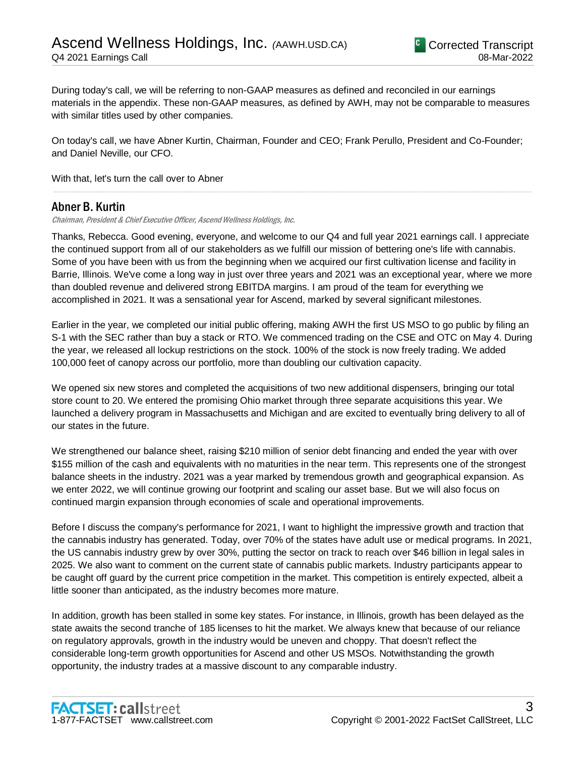During today's call, we will be referring to non-GAAP measures as defined and reconciled in our earnings materials in the appendix. These non-GAAP measures, as defined by AWH, may not be comparable to measures with similar titles used by other companies.

On today's call, we have Abner Kurtin, Chairman, Founder and CEO; Frank Perullo, President and Co-Founder; and Daniel Neville, our CFO.

.....................................................................................................................................................................................................................................................................

With that, let's turn the call over to Abner

## Abner B. Kurtin

Chairman, President & Chief Executive Officer, Ascend Wellness Holdings, Inc.

Thanks, Rebecca. Good evening, everyone, and welcome to our Q4 and full year 2021 earnings call. I appreciate the continued support from all of our stakeholders as we fulfill our mission of bettering one's life with cannabis. Some of you have been with us from the beginning when we acquired our first cultivation license and facility in Barrie, Illinois. We've come a long way in just over three years and 2021 was an exceptional year, where we more than doubled revenue and delivered strong EBITDA margins. I am proud of the team for everything we accomplished in 2021. It was a sensational year for Ascend, marked by several significant milestones.

Earlier in the year, we completed our initial public offering, making AWH the first US MSO to go public by filing an S-1 with the SEC rather than buy a stack or RTO. We commenced trading on the CSE and OTC on May 4. During the year, we released all lockup restrictions on the stock. 100% of the stock is now freely trading. We added 100,000 feet of canopy across our portfolio, more than doubling our cultivation capacity.

We opened six new stores and completed the acquisitions of two new additional dispensers, bringing our total store count to 20. We entered the promising Ohio market through three separate acquisitions this year. We launched a delivery program in Massachusetts and Michigan and are excited to eventually bring delivery to all of our states in the future.

We strengthened our balance sheet, raising \$210 million of senior debt financing and ended the year with over \$155 million of the cash and equivalents with no maturities in the near term. This represents one of the strongest balance sheets in the industry. 2021 was a year marked by tremendous growth and geographical expansion. As we enter 2022, we will continue growing our footprint and scaling our asset base. But we will also focus on continued margin expansion through economies of scale and operational improvements.

Before I discuss the company's performance for 2021, I want to highlight the impressive growth and traction that the cannabis industry has generated. Today, over 70% of the states have adult use or medical programs. In 2021, the US cannabis industry grew by over 30%, putting the sector on track to reach over \$46 billion in legal sales in 2025. We also want to comment on the current state of cannabis public markets. Industry participants appear to be caught off guard by the current price competition in the market. This competition is entirely expected, albeit a little sooner than anticipated, as the industry becomes more mature.

In addition, growth has been stalled in some key states. For instance, in Illinois, growth has been delayed as the state awaits the second tranche of 185 licenses to hit the market. We always knew that because of our reliance on regulatory approvals, growth in the industry would be uneven and choppy. That doesn't reflect the considerable long-term growth opportunities for Ascend and other US MSOs. Notwithstanding the growth opportunity, the industry trades at a massive discount to any comparable industry.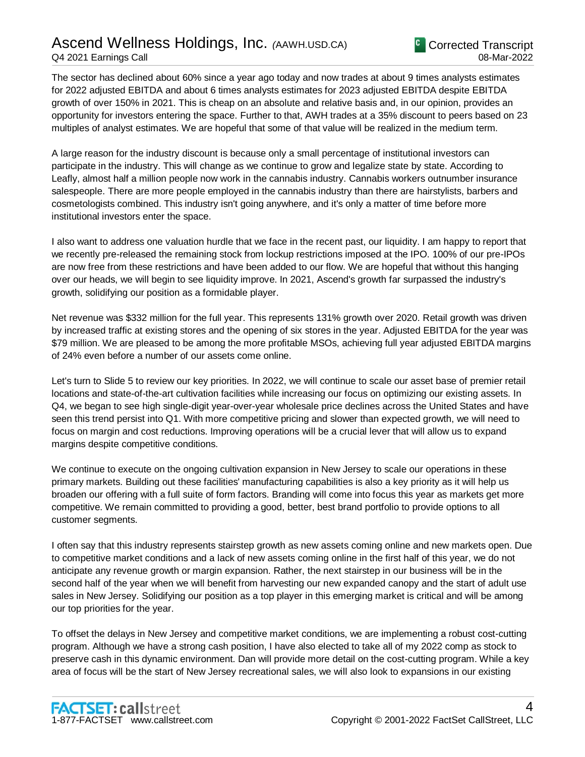## Ascend Wellness Holdings, Inc. *(*AAWH.USD.CA) Q4 2021 Earnings Call

The sector has declined about 60% since a year ago today and now trades at about 9 times analysts estimates for 2022 adjusted EBITDA and about 6 times analysts estimates for 2023 adjusted EBITDA despite EBITDA growth of over 150% in 2021. This is cheap on an absolute and relative basis and, in our opinion, provides an opportunity for investors entering the space. Further to that, AWH trades at a 35% discount to peers based on 23 multiples of analyst estimates. We are hopeful that some of that value will be realized in the medium term.

A large reason for the industry discount is because only a small percentage of institutional investors can participate in the industry. This will change as we continue to grow and legalize state by state. According to Leafly, almost half a million people now work in the cannabis industry. Cannabis workers outnumber insurance salespeople. There are more people employed in the cannabis industry than there are hairstylists, barbers and cosmetologists combined. This industry isn't going anywhere, and it's only a matter of time before more institutional investors enter the space.

I also want to address one valuation hurdle that we face in the recent past, our liquidity. I am happy to report that we recently pre-released the remaining stock from lockup restrictions imposed at the IPO. 100% of our pre-IPOs are now free from these restrictions and have been added to our flow. We are hopeful that without this hanging over our heads, we will begin to see liquidity improve. In 2021, Ascend's growth far surpassed the industry's growth, solidifying our position as a formidable player.

Net revenue was \$332 million for the full year. This represents 131% growth over 2020. Retail growth was driven by increased traffic at existing stores and the opening of six stores in the year. Adjusted EBITDA for the year was \$79 million. We are pleased to be among the more profitable MSOs, achieving full year adjusted EBITDA margins of 24% even before a number of our assets come online.

Let's turn to Slide 5 to review our key priorities. In 2022, we will continue to scale our asset base of premier retail locations and state-of-the-art cultivation facilities while increasing our focus on optimizing our existing assets. In Q4, we began to see high single-digit year-over-year wholesale price declines across the United States and have seen this trend persist into Q1. With more competitive pricing and slower than expected growth, we will need to focus on margin and cost reductions. Improving operations will be a crucial lever that will allow us to expand margins despite competitive conditions.

We continue to execute on the ongoing cultivation expansion in New Jersey to scale our operations in these primary markets. Building out these facilities' manufacturing capabilities is also a key priority as it will help us broaden our offering with a full suite of form factors. Branding will come into focus this year as markets get more competitive. We remain committed to providing a good, better, best brand portfolio to provide options to all customer segments.

I often say that this industry represents stairstep growth as new assets coming online and new markets open. Due to competitive market conditions and a lack of new assets coming online in the first half of this year, we do not anticipate any revenue growth or margin expansion. Rather, the next stairstep in our business will be in the second half of the year when we will benefit from harvesting our new expanded canopy and the start of adult use sales in New Jersey. Solidifying our position as a top player in this emerging market is critical and will be among our top priorities for the year.

To offset the delays in New Jersey and competitive market conditions, we are implementing a robust cost-cutting program. Although we have a strong cash position, I have also elected to take all of my 2022 comp as stock to preserve cash in this dynamic environment. Dan will provide more detail on the cost-cutting program. While a key area of focus will be the start of New Jersey recreational sales, we will also look to expansions in our existing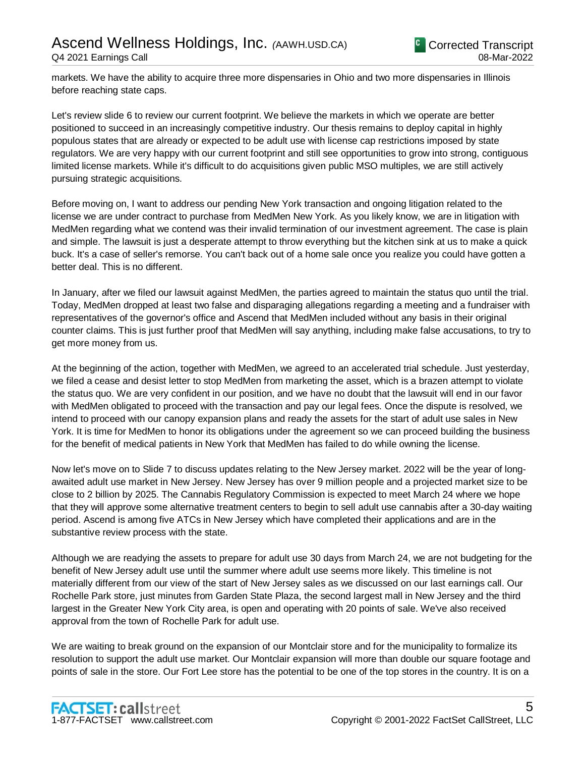markets. We have the ability to acquire three more dispensaries in Ohio and two more dispensaries in Illinois before reaching state caps.

Let's review slide 6 to review our current footprint. We believe the markets in which we operate are better positioned to succeed in an increasingly competitive industry. Our thesis remains to deploy capital in highly populous states that are already or expected to be adult use with license cap restrictions imposed by state regulators. We are very happy with our current footprint and still see opportunities to grow into strong, contiguous limited license markets. While it's difficult to do acquisitions given public MSO multiples, we are still actively pursuing strategic acquisitions.

Before moving on, I want to address our pending New York transaction and ongoing litigation related to the license we are under contract to purchase from MedMen New York. As you likely know, we are in litigation with MedMen regarding what we contend was their invalid termination of our investment agreement. The case is plain and simple. The lawsuit is just a desperate attempt to throw everything but the kitchen sink at us to make a quick buck. It's a case of seller's remorse. You can't back out of a home sale once you realize you could have gotten a better deal. This is no different.

In January, after we filed our lawsuit against MedMen, the parties agreed to maintain the status quo until the trial. Today, MedMen dropped at least two false and disparaging allegations regarding a meeting and a fundraiser with representatives of the governor's office and Ascend that MedMen included without any basis in their original counter claims. This is just further proof that MedMen will say anything, including make false accusations, to try to get more money from us.

At the beginning of the action, together with MedMen, we agreed to an accelerated trial schedule. Just yesterday, we filed a cease and desist letter to stop MedMen from marketing the asset, which is a brazen attempt to violate the status quo. We are very confident in our position, and we have no doubt that the lawsuit will end in our favor with MedMen obligated to proceed with the transaction and pay our legal fees. Once the dispute is resolved, we intend to proceed with our canopy expansion plans and ready the assets for the start of adult use sales in New York. It is time for MedMen to honor its obligations under the agreement so we can proceed building the business for the benefit of medical patients in New York that MedMen has failed to do while owning the license.

Now let's move on to Slide 7 to discuss updates relating to the New Jersey market. 2022 will be the year of longawaited adult use market in New Jersey. New Jersey has over 9 million people and a projected market size to be close to 2 billion by 2025. The Cannabis Regulatory Commission is expected to meet March 24 where we hope that they will approve some alternative treatment centers to begin to sell adult use cannabis after a 30-day waiting period. Ascend is among five ATCs in New Jersey which have completed their applications and are in the substantive review process with the state.

Although we are readying the assets to prepare for adult use 30 days from March 24, we are not budgeting for the benefit of New Jersey adult use until the summer where adult use seems more likely. This timeline is not materially different from our view of the start of New Jersey sales as we discussed on our last earnings call. Our Rochelle Park store, just minutes from Garden State Plaza, the second largest mall in New Jersey and the third largest in the Greater New York City area, is open and operating with 20 points of sale. We've also received approval from the town of Rochelle Park for adult use.

We are waiting to break ground on the expansion of our Montclair store and for the municipality to formalize its resolution to support the adult use market. Our Montclair expansion will more than double our square footage and points of sale in the store. Our Fort Lee store has the potential to be one of the top stores in the country. It is on a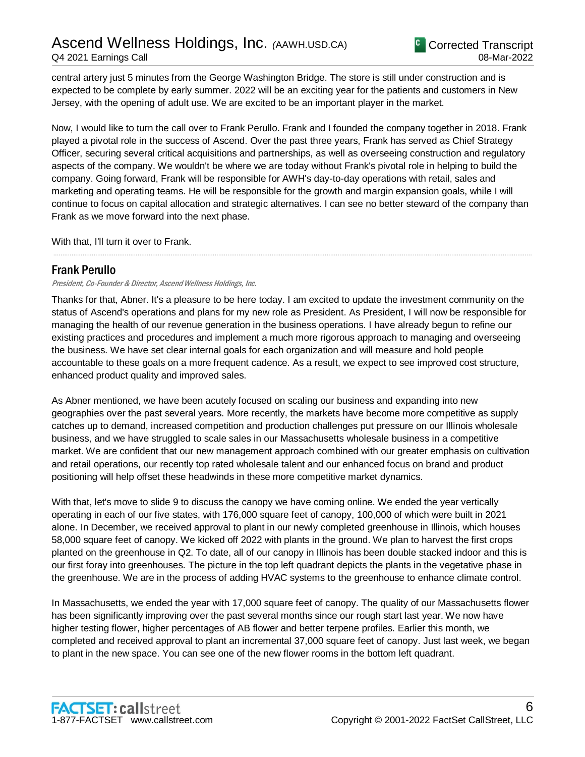central artery just 5 minutes from the George Washington Bridge. The store is still under construction and is expected to be complete by early summer. 2022 will be an exciting year for the patients and customers in New Jersey, with the opening of adult use. We are excited to be an important player in the market.

Now, I would like to turn the call over to Frank Perullo. Frank and I founded the company together in 2018. Frank played a pivotal role in the success of Ascend. Over the past three years, Frank has served as Chief Strategy Officer, securing several critical acquisitions and partnerships, as well as overseeing construction and regulatory aspects of the company. We wouldn't be where we are today without Frank's pivotal role in helping to build the company. Going forward, Frank will be responsible for AWH's day-to-day operations with retail, sales and marketing and operating teams. He will be responsible for the growth and margin expansion goals, while I will continue to focus on capital allocation and strategic alternatives. I can see no better steward of the company than Frank as we move forward into the next phase.

.....................................................................................................................................................................................................................................................................

With that, I'll turn it over to Frank.

## Frank Perullo

President, Co-Founder & Director, Ascend Wellness Holdings, Inc.

Thanks for that, Abner. It's a pleasure to be here today. I am excited to update the investment community on the status of Ascend's operations and plans for my new role as President. As President, I will now be responsible for managing the health of our revenue generation in the business operations. I have already begun to refine our existing practices and procedures and implement a much more rigorous approach to managing and overseeing the business. We have set clear internal goals for each organization and will measure and hold people accountable to these goals on a more frequent cadence. As a result, we expect to see improved cost structure, enhanced product quality and improved sales.

As Abner mentioned, we have been acutely focused on scaling our business and expanding into new geographies over the past several years. More recently, the markets have become more competitive as supply catches up to demand, increased competition and production challenges put pressure on our Illinois wholesale business, and we have struggled to scale sales in our Massachusetts wholesale business in a competitive market. We are confident that our new management approach combined with our greater emphasis on cultivation and retail operations, our recently top rated wholesale talent and our enhanced focus on brand and product positioning will help offset these headwinds in these more competitive market dynamics.

With that, let's move to slide 9 to discuss the canopy we have coming online. We ended the year vertically operating in each of our five states, with 176,000 square feet of canopy, 100,000 of which were built in 2021 alone. In December, we received approval to plant in our newly completed greenhouse in Illinois, which houses 58,000 square feet of canopy. We kicked off 2022 with plants in the ground. We plan to harvest the first crops planted on the greenhouse in Q2. To date, all of our canopy in Illinois has been double stacked indoor and this is our first foray into greenhouses. The picture in the top left quadrant depicts the plants in the vegetative phase in the greenhouse. We are in the process of adding HVAC systems to the greenhouse to enhance climate control.

In Massachusetts, we ended the year with 17,000 square feet of canopy. The quality of our Massachusetts flower has been significantly improving over the past several months since our rough start last year. We now have higher testing flower, higher percentages of AB flower and better terpene profiles. Earlier this month, we completed and received approval to plant an incremental 37,000 square feet of canopy. Just last week, we began to plant in the new space. You can see one of the new flower rooms in the bottom left quadrant.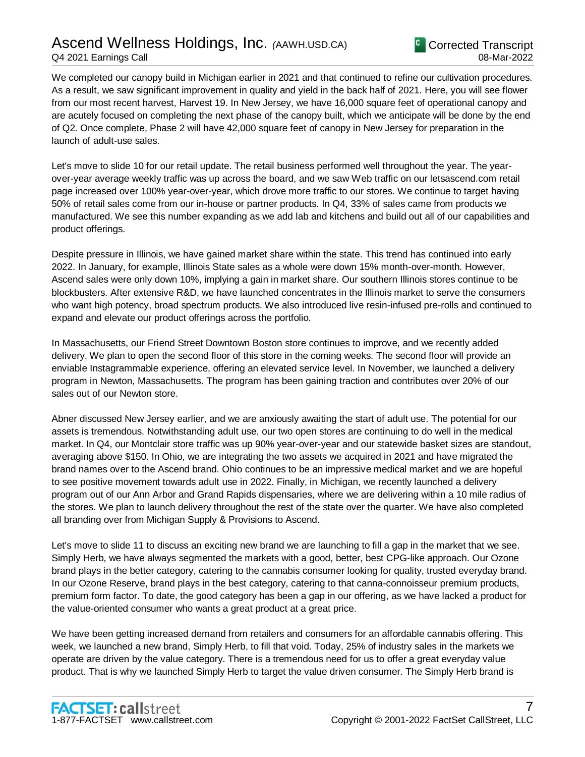## Ascend Wellness Holdings, Inc. *(*AAWH.USD.CA) Q4 2021 Earnings Call



We completed our canopy build in Michigan earlier in 2021 and that continued to refine our cultivation procedures. As a result, we saw significant improvement in quality and yield in the back half of 2021. Here, you will see flower from our most recent harvest, Harvest 19. In New Jersey, we have 16,000 square feet of operational canopy and are acutely focused on completing the next phase of the canopy built, which we anticipate will be done by the end of Q2. Once complete, Phase 2 will have 42,000 square feet of canopy in New Jersey for preparation in the launch of adult-use sales.

Let's move to slide 10 for our retail update. The retail business performed well throughout the year. The yearover-year average weekly traffic was up across the board, and we saw Web traffic on our letsascend.com retail page increased over 100% year-over-year, which drove more traffic to our stores. We continue to target having 50% of retail sales come from our in-house or partner products. In Q4, 33% of sales came from products we manufactured. We see this number expanding as we add lab and kitchens and build out all of our capabilities and product offerings.

Despite pressure in Illinois, we have gained market share within the state. This trend has continued into early 2022. In January, for example, Illinois State sales as a whole were down 15% month-over-month. However, Ascend sales were only down 10%, implying a gain in market share. Our southern Illinois stores continue to be blockbusters. After extensive R&D, we have launched concentrates in the Illinois market to serve the consumers who want high potency, broad spectrum products. We also introduced live resin-infused pre-rolls and continued to expand and elevate our product offerings across the portfolio.

In Massachusetts, our Friend Street Downtown Boston store continues to improve, and we recently added delivery. We plan to open the second floor of this store in the coming weeks. The second floor will provide an enviable Instagrammable experience, offering an elevated service level. In November, we launched a delivery program in Newton, Massachusetts. The program has been gaining traction and contributes over 20% of our sales out of our Newton store.

Abner discussed New Jersey earlier, and we are anxiously awaiting the start of adult use. The potential for our assets is tremendous. Notwithstanding adult use, our two open stores are continuing to do well in the medical market. In Q4, our Montclair store traffic was up 90% year-over-year and our statewide basket sizes are standout, averaging above \$150. In Ohio, we are integrating the two assets we acquired in 2021 and have migrated the brand names over to the Ascend brand. Ohio continues to be an impressive medical market and we are hopeful to see positive movement towards adult use in 2022. Finally, in Michigan, we recently launched a delivery program out of our Ann Arbor and Grand Rapids dispensaries, where we are delivering within a 10 mile radius of the stores. We plan to launch delivery throughout the rest of the state over the quarter. We have also completed all branding over from Michigan Supply & Provisions to Ascend.

Let's move to slide 11 to discuss an exciting new brand we are launching to fill a gap in the market that we see. Simply Herb, we have always segmented the markets with a good, better, best CPG-like approach. Our Ozone brand plays in the better category, catering to the cannabis consumer looking for quality, trusted everyday brand. In our Ozone Reserve, brand plays in the best category, catering to that canna-connoisseur premium products, premium form factor. To date, the good category has been a gap in our offering, as we have lacked a product for the value-oriented consumer who wants a great product at a great price.

We have been getting increased demand from retailers and consumers for an affordable cannabis offering. This week, we launched a new brand, Simply Herb, to fill that void. Today, 25% of industry sales in the markets we operate are driven by the value category. There is a tremendous need for us to offer a great everyday value product. That is why we launched Simply Herb to target the value driven consumer. The Simply Herb brand is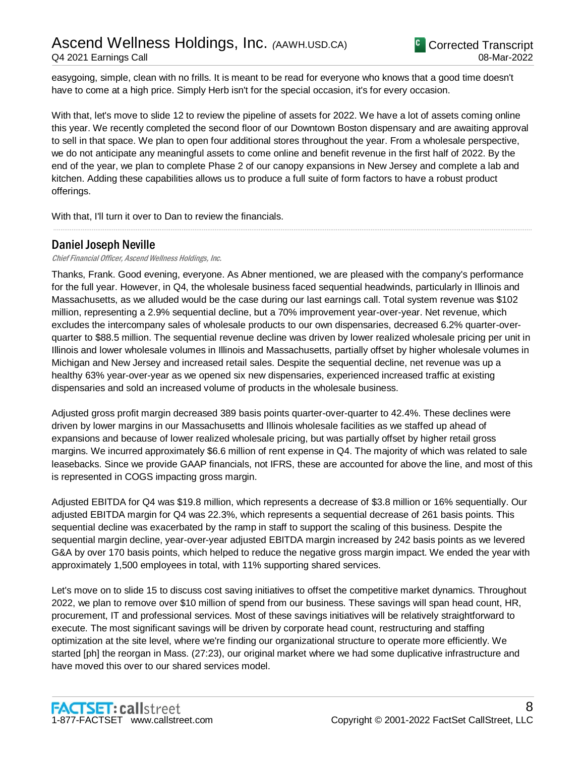easygoing, simple, clean with no frills. It is meant to be read for everyone who knows that a good time doesn't have to come at a high price. Simply Herb isn't for the special occasion, it's for every occasion.

With that, let's move to slide 12 to review the pipeline of assets for 2022. We have a lot of assets coming online this year. We recently completed the second floor of our Downtown Boston dispensary and are awaiting approval to sell in that space. We plan to open four additional stores throughout the year. From a wholesale perspective, we do not anticipate any meaningful assets to come online and benefit revenue in the first half of 2022. By the end of the year, we plan to complete Phase 2 of our canopy expansions in New Jersey and complete a lab and kitchen. Adding these capabilities allows us to produce a full suite of form factors to have a robust product offerings.

.....................................................................................................................................................................................................................................................................

With that, I'll turn it over to Dan to review the financials.

## Daniel Joseph Neville

#### Chief Financial Officer, Ascend Wellness Holdings, Inc.

Thanks, Frank. Good evening, everyone. As Abner mentioned, we are pleased with the company's performance for the full year. However, in Q4, the wholesale business faced sequential headwinds, particularly in Illinois and Massachusetts, as we alluded would be the case during our last earnings call. Total system revenue was \$102 million, representing a 2.9% sequential decline, but a 70% improvement year-over-year. Net revenue, which excludes the intercompany sales of wholesale products to our own dispensaries, decreased 6.2% quarter-overquarter to \$88.5 million. The sequential revenue decline was driven by lower realized wholesale pricing per unit in Illinois and lower wholesale volumes in Illinois and Massachusetts, partially offset by higher wholesale volumes in Michigan and New Jersey and increased retail sales. Despite the sequential decline, net revenue was up a healthy 63% year-over-year as we opened six new dispensaries, experienced increased traffic at existing dispensaries and sold an increased volume of products in the wholesale business.

Adjusted gross profit margin decreased 389 basis points quarter-over-quarter to 42.4%. These declines were driven by lower margins in our Massachusetts and Illinois wholesale facilities as we staffed up ahead of expansions and because of lower realized wholesale pricing, but was partially offset by higher retail gross margins. We incurred approximately \$6.6 million of rent expense in Q4. The majority of which was related to sale leasebacks. Since we provide GAAP financials, not IFRS, these are accounted for above the line, and most of this is represented in COGS impacting gross margin.

Adjusted EBITDA for Q4 was \$19.8 million, which represents a decrease of \$3.8 million or 16% sequentially. Our adjusted EBITDA margin for Q4 was 22.3%, which represents a sequential decrease of 261 basis points. This sequential decline was exacerbated by the ramp in staff to support the scaling of this business. Despite the sequential margin decline, year-over-year adjusted EBITDA margin increased by 242 basis points as we levered G&A by over 170 basis points, which helped to reduce the negative gross margin impact. We ended the year with approximately 1,500 employees in total, with 11% supporting shared services.

Let's move on to slide 15 to discuss cost saving initiatives to offset the competitive market dynamics. Throughout 2022, we plan to remove over \$10 million of spend from our business. These savings will span head count, HR, procurement, IT and professional services. Most of these savings initiatives will be relatively straightforward to execute. The most significant savings will be driven by corporate head count, restructuring and staffing optimization at the site level, where we're finding our organizational structure to operate more efficiently. We started [ph] the reorgan in Mass. (27:23), our original market where we had some duplicative infrastructure and have moved this over to our shared services model.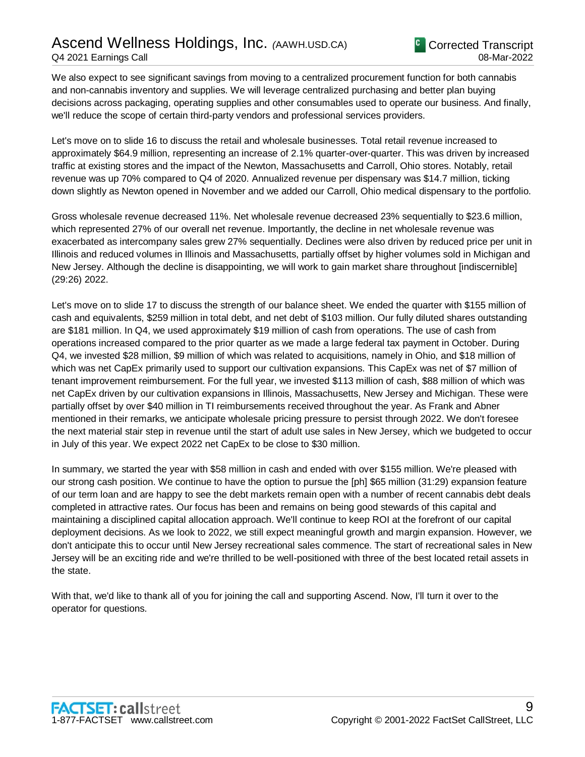We also expect to see significant savings from moving to a centralized procurement function for both cannabis and non-cannabis inventory and supplies. We will leverage centralized purchasing and better plan buying decisions across packaging, operating supplies and other consumables used to operate our business. And finally, we'll reduce the scope of certain third-party vendors and professional services providers.

Let's move on to slide 16 to discuss the retail and wholesale businesses. Total retail revenue increased to approximately \$64.9 million, representing an increase of 2.1% quarter-over-quarter. This was driven by increased traffic at existing stores and the impact of the Newton, Massachusetts and Carroll, Ohio stores. Notably, retail revenue was up 70% compared to Q4 of 2020. Annualized revenue per dispensary was \$14.7 million, ticking down slightly as Newton opened in November and we added our Carroll, Ohio medical dispensary to the portfolio.

Gross wholesale revenue decreased 11%. Net wholesale revenue decreased 23% sequentially to \$23.6 million, which represented 27% of our overall net revenue. Importantly, the decline in net wholesale revenue was exacerbated as intercompany sales grew 27% sequentially. Declines were also driven by reduced price per unit in Illinois and reduced volumes in Illinois and Massachusetts, partially offset by higher volumes sold in Michigan and New Jersey. Although the decline is disappointing, we will work to gain market share throughout [indiscernible] (29:26) 2022.

Let's move on to slide 17 to discuss the strength of our balance sheet. We ended the quarter with \$155 million of cash and equivalents, \$259 million in total debt, and net debt of \$103 million. Our fully diluted shares outstanding are \$181 million. In Q4, we used approximately \$19 million of cash from operations. The use of cash from operations increased compared to the prior quarter as we made a large federal tax payment in October. During Q4, we invested \$28 million, \$9 million of which was related to acquisitions, namely in Ohio, and \$18 million of which was net CapEx primarily used to support our cultivation expansions. This CapEx was net of \$7 million of tenant improvement reimbursement. For the full year, we invested \$113 million of cash, \$88 million of which was net CapEx driven by our cultivation expansions in Illinois, Massachusetts, New Jersey and Michigan. These were partially offset by over \$40 million in TI reimbursements received throughout the year. As Frank and Abner mentioned in their remarks, we anticipate wholesale pricing pressure to persist through 2022. We don't foresee the next material stair step in revenue until the start of adult use sales in New Jersey, which we budgeted to occur in July of this year. We expect 2022 net CapEx to be close to \$30 million.

In summary, we started the year with \$58 million in cash and ended with over \$155 million. We're pleased with our strong cash position. We continue to have the option to pursue the [ph] \$65 million (31:29) expansion feature of our term loan and are happy to see the debt markets remain open with a number of recent cannabis debt deals completed in attractive rates. Our focus has been and remains on being good stewards of this capital and maintaining a disciplined capital allocation approach. We'll continue to keep ROI at the forefront of our capital deployment decisions. As we look to 2022, we still expect meaningful growth and margin expansion. However, we don't anticipate this to occur until New Jersey recreational sales commence. The start of recreational sales in New Jersey will be an exciting ride and we're thrilled to be well-positioned with three of the best located retail assets in the state.

With that, we'd like to thank all of you for joining the call and supporting Ascend. Now, I'll turn it over to the operator for questions.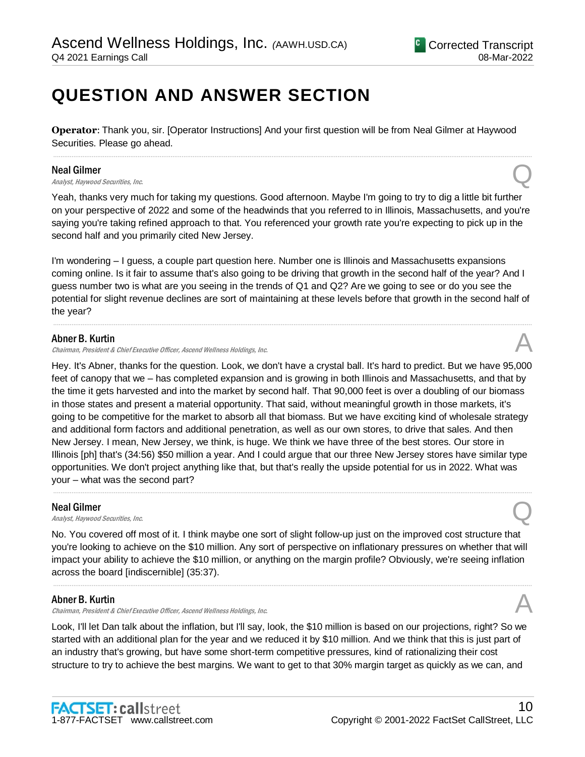## **QUESTION AND ANSWER SECTION**

**Operator**: Thank you, sir. [Operator Instructions] And your first question will be from Neal Gilmer at Haywood Securities. Please go ahead.

.....................................................................................................................................................................................................................................................................

### Neal Gilmer

**Neal Gilmer**<br>Analyst, Haywood Securities, Inc.  $\bigotimes$ 

Yeah, thanks very much for taking my questions. Good afternoon. Maybe I'm going to try to dig a little bit further on your perspective of 2022 and some of the headwinds that you referred to in Illinois, Massachusetts, and you're saying you're taking refined approach to that. You referenced your growth rate you're expecting to pick up in the second half and you primarily cited New Jersey.

I'm wondering – I guess, a couple part question here. Number one is Illinois and Massachusetts expansions coming online. Is it fair to assume that's also going to be driving that growth in the second half of the year? And I guess number two is what are you seeing in the trends of Q1 and Q2? Are we going to see or do you see the potential for slight revenue declines are sort of maintaining at these levels before that growth in the second half of the year?

.....................................................................................................................................................................................................................................................................

## Abner B. Kurtin

Chairman, President & Chief Executive Officer, Ascend Wellness Holdings, Inc. A

Hey. It's Abner, thanks for the question. Look, we don't have a crystal ball. It's hard to predict. But we have 95,000 feet of canopy that we – has completed expansion and is growing in both Illinois and Massachusetts, and that by the time it gets harvested and into the market by second half. That 90,000 feet is over a doubling of our biomass in those states and present a material opportunity. That said, without meaningful growth in those markets, it's going to be competitive for the market to absorb all that biomass. But we have exciting kind of wholesale strategy and additional form factors and additional penetration, as well as our own stores, to drive that sales. And then New Jersey. I mean, New Jersey, we think, is huge. We think we have three of the best stores. Our store in Illinois [ph] that's (34:56) \$50 million a year. And I could argue that our three New Jersey stores have similar type opportunities. We don't project anything like that, but that's really the upside potential for us in 2022. What was your – what was the second part?

.....................................................................................................................................................................................................................................................................

## Neal Gilmer

**Neal Gilmer**<br>Analyst, Haywood Securities, Inc.  $\bigotimes$ 

No. You covered off most of it. I think maybe one sort of slight follow-up just on the improved cost structure that you're looking to achieve on the \$10 million. Any sort of perspective on inflationary pressures on whether that will impact your ability to achieve the \$10 million, or anything on the margin profile? Obviously, we're seeing inflation across the board [indiscernible] (35:37).

.....................................................................................................................................................................................................................................................................

## Abner B. Kurtin

Chairman, President & Chief Executive Officer, Ascend Wellness Holdings, Inc.

Look, I'll let Dan talk about the inflation, but I'll say, look, the \$10 million is based on our projections, right? So we started with an additional plan for the year and we reduced it by \$10 million. And we think that this is just part of an industry that's growing, but have some short-term competitive pressures, kind of rationalizing their cost structure to try to achieve the best margins. We want to get to that 30% margin target as quickly as we can, and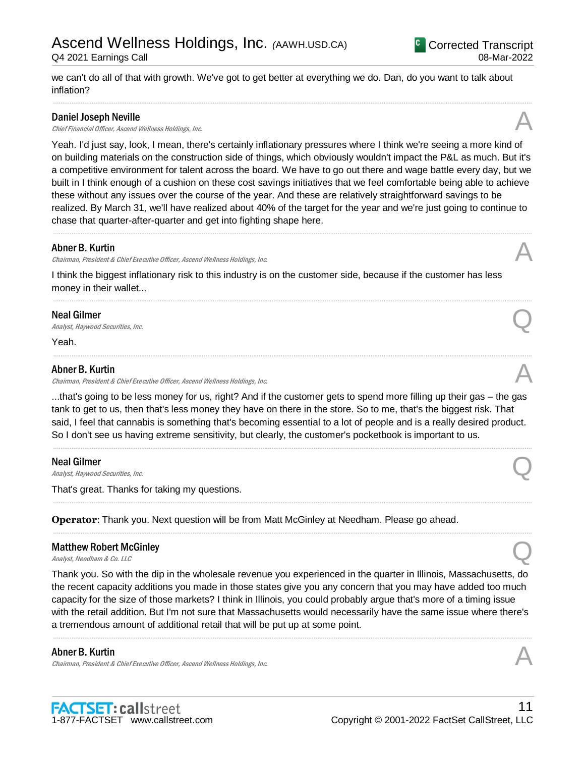## Ascend Wellness Holdings, Inc. *(*AAWH.USD.CA)

Q4 2021 Earnings Call

we can't do all of that with growth. We've got to get better at everything we do. Dan, do you want to talk about inflation?

.....................................................................................................................................................................................................................................................................

## Daniel Joseph Neville

**Daniel Joseph Neville**<br>Chief Financial Officer, Ascend Wellness Holdings, Inc.  $\mathcal{A}$ 

Yeah. I'd just say, look, I mean, there's certainly inflationary pressures where I think we're seeing a more kind of on building materials on the construction side of things, which obviously wouldn't impact the P&L as much. But it's a competitive environment for talent across the board. We have to go out there and wage battle every day, but we built in I think enough of a cushion on these cost savings initiatives that we feel comfortable being able to achieve these without any issues over the course of the year. And these are relatively straightforward savings to be realized. By March 31, we'll have realized about 40% of the target for the year and we're just going to continue to chase that quarter-after-quarter and get into fighting shape here.

.....................................................................................................................................................................................................................................................................

.....................................................................................................................................................................................................................................................................

.....................................................................................................................................................................................................................................................................

## Abner B. Kurtin

Chairman, President & Chief Executive Officer, Ascend Wellness Holdings, Inc.

I think the biggest inflationary risk to this industry is on the customer side, because if the customer has less money in their wallet...

## Neal Gilmer

**Neal Gilmer**<br>Analyst, Haywood Securities, Inc.  $\bigotimes$ 

Yeah.

## Abner B. Kurtin

Chairman, President & Chief Executive Officer, Ascend Wellness Holdings, Inc. A

...that's going to be less money for us, right? And if the customer gets to spend more filling up their gas – the gas tank to get to us, then that's less money they have on there in the store. So to me, that's the biggest risk. That said, I feel that cannabis is something that's becoming essential to a lot of people and is a really desired product. So I don't see us having extreme sensitivity, but clearly, the customer's pocketbook is important to us.

.....................................................................................................................................................................................................................................................................

.....................................................................................................................................................................................................................................................................

.....................................................................................................................................................................................................................................................................

## Neal Gilmer

**Neal Gilmer**<br>Analyst, Haywood Securities, Inc.  $\bigotimes$ 

That's great. Thanks for taking my questions.

**Operator**: Thank you. Next question will be from Matt McGinley at Needham. Please go ahead.

## Matthew Robert McGinley **Matthew Robert McGinley**<br>Analyst, Needham & Co. LLC

Thank you. So with the dip in the wholesale revenue you experienced in the quarter in Illinois, Massachusetts, do the recent capacity additions you made in those states give you any concern that you may have added too much capacity for the size of those markets? I think in Illinois, you could probably argue that's more of a timing issue with the retail addition. But I'm not sure that Massachusetts would necessarily have the same issue where there's a tremendous amount of additional retail that will be put up at some point.

.....................................................................................................................................................................................................................................................................

## Abner B. Kurtin

Chairman, President & Chief Executive Officer, Ascend Wellness Holdings, Inc.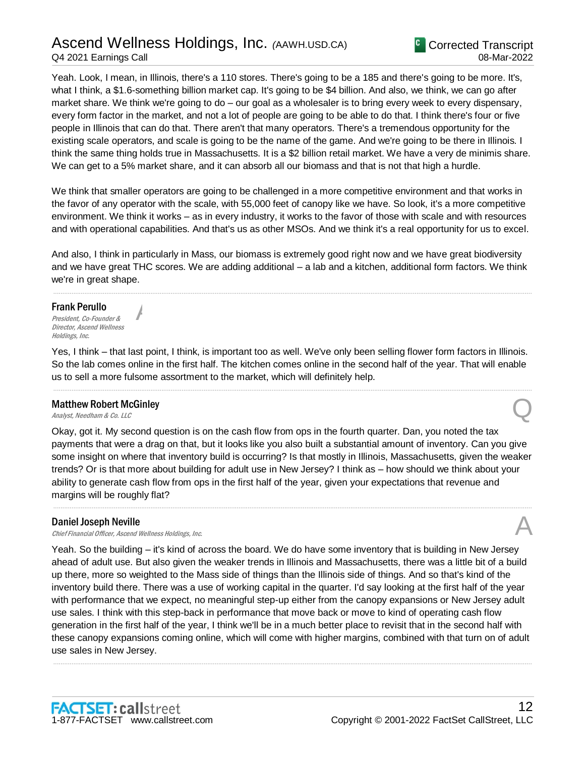## Ascend Wellness Holdings, Inc. *(*AAWH.USD.CA) Q4 2021 Earnings Call

Yeah. Look, I mean, in Illinois, there's a 110 stores. There's going to be a 185 and there's going to be more. It's, what I think, a \$1.6-something billion market cap. It's going to be \$4 billion. And also, we think, we can go after market share. We think we're going to do – our goal as a wholesaler is to bring every week to every dispensary, every form factor in the market, and not a lot of people are going to be able to do that. I think there's four or five people in Illinois that can do that. There aren't that many operators. There's a tremendous opportunity for the existing scale operators, and scale is going to be the name of the game. And we're going to be there in Illinois. I think the same thing holds true in Massachusetts. It is a \$2 billion retail market. We have a very de minimis share. We can get to a 5% market share, and it can absorb all our biomass and that is not that high a hurdle.

We think that smaller operators are going to be challenged in a more competitive environment and that works in the favor of any operator with the scale, with 55,000 feet of canopy like we have. So look, it's a more competitive environment. We think it works – as in every industry, it works to the favor of those with scale and with resources and with operational capabilities. And that's us as other MSOs. And we think it's a real opportunity for us to excel.

And also, I think in particularly in Mass, our biomass is extremely good right now and we have great biodiversity and we have great THC scores. We are adding additional – a lab and a kitchen, additional form factors. We think we're in great shape.

.....................................................................................................................................................................................................................................................................

#### Frank Perullo

President, Co-Founder & Director, Ascend Wellness Holdings, Inc.

Yes, I think – that last point, I think, is important too as well. We've only been selling flower form factors in Illinois. So the lab comes online in the first half. The kitchen comes online in the second half of the year. That will enable us to sell a more fulsome assortment to the market, which will definitely help.

.....................................................................................................................................................................................................................................................................

## Matthew Robert McGinley **Matthew Robert McGinley**<br>Analyst, Needham & Co. LLC

A

Okay, got it. My second question is on the cash flow from ops in the fourth quarter. Dan, you noted the tax payments that were a drag on that, but it looks like you also built a substantial amount of inventory. Can you give some insight on where that inventory build is occurring? Is that mostly in Illinois, Massachusetts, given the weaker trends? Or is that more about building for adult use in New Jersey? I think as – how should we think about your ability to generate cash flow from ops in the first half of the year, given your expectations that revenue and margins will be roughly flat?

.....................................................................................................................................................................................................................................................................

## Daniel Joseph Neville

**Daniel Joseph Neville**<br>Chief Financial Officer, Ascend Wellness Holdings, Inc.  $\mathcal{A}$ 

Yeah. So the building – it's kind of across the board. We do have some inventory that is building in New Jersey ahead of adult use. But also given the weaker trends in Illinois and Massachusetts, there was a little bit of a build up there, more so weighted to the Mass side of things than the Illinois side of things. And so that's kind of the inventory build there. There was a use of working capital in the quarter. I'd say looking at the first half of the year with performance that we expect, no meaningful step-up either from the canopy expansions or New Jersey adult use sales. I think with this step-back in performance that move back or move to kind of operating cash flow generation in the first half of the year, I think we'll be in a much better place to revisit that in the second half with these canopy expansions coming online, which will come with higher margins, combined with that turn on of adult use sales in New Jersey.

.....................................................................................................................................................................................................................................................................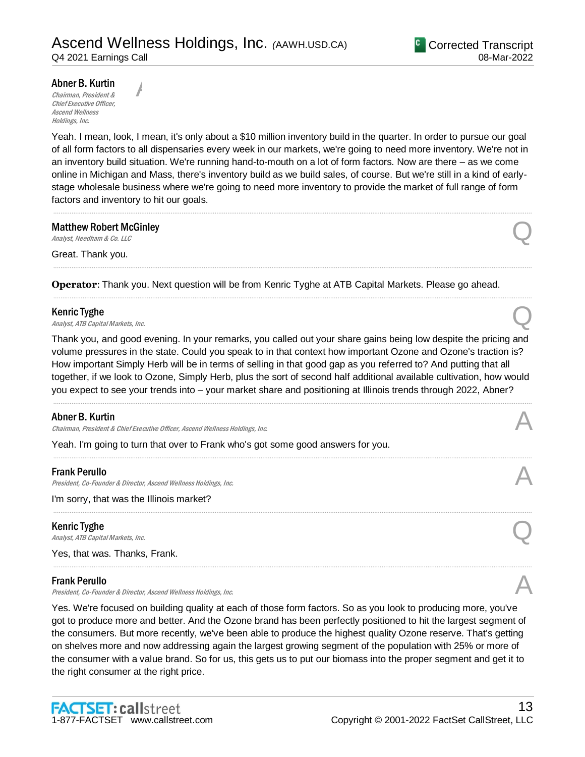### Abner B. Kurtin

Chairman, President & Chief Executive Officer, Ascend Wellness Holdings, Inc.

A

Yeah. I mean, look, I mean, it's only about a \$10 million inventory build in the quarter. In order to pursue our goal of all form factors to all dispensaries every week in our markets, we're going to need more inventory. We're not in an inventory build situation. We're running hand-to-mouth on a lot of form factors. Now are there – as we come online in Michigan and Mass, there's inventory build as we build sales, of course. But we're still in a kind of earlystage wholesale business where we're going to need more inventory to provide the market of full range of form factors and inventory to hit our goals.

.....................................................................................................................................................................................................................................................................

.....................................................................................................................................................................................................................................................................

.....................................................................................................................................................................................................................................................................

## Matthew Robert McGinley **Matthew Robert McGinley**<br>Analyst, Needham & Co. LLC

Great. Thank you.

**Operator**: Thank you. Next question will be from Kenric Tyghe at ATB Capital Markets. Please go ahead.

### Kenric Tyghe

**Kenric Tyghe**<br>Analyst, ATB Capital Markets, Inc.  $\bigotimes$ 

Thank you, and good evening. In your remarks, you called out your share gains being low despite the pricing and volume pressures in the state. Could you speak to in that context how important Ozone and Ozone's traction is? How important Simply Herb will be in terms of selling in that good gap as you referred to? And putting that all together, if we look to Ozone, Simply Herb, plus the sort of second half additional available cultivation, how would you expect to see your trends into – your market share and positioning at Illinois trends through 2022, Abner?

.....................................................................................................................................................................................................................................................................

.....................................................................................................................................................................................................................................................................

.....................................................................................................................................................................................................................................................................

.....................................................................................................................................................................................................................................................................

#### Abner B. Kurtin

Chairman, President & Chief Executive Officer, Ascend Wellness Holdings, Inc.

Yeah. I'm going to turn that over to Frank who's got some good answers for you.

#### Frank Perullo

President, Co-Founder & Director, Ascend Wellness Holdings, Inc.

I'm sorry, that was the Illinois market?

Kenric Tyghe

**Kenric Tyghe**<br>Analyst, ATB Capital Markets, Inc.  $\bigotimes$ 

Yes, that was. Thanks, Frank.

#### Frank Perullo

President, Co-Founder & Director, Ascend Wellness Holdings, Inc.

Yes. We're focused on building quality at each of those form factors. So as you look to producing more, you've got to produce more and better. And the Ozone brand has been perfectly positioned to hit the largest segment of the consumers. But more recently, we've been able to produce the highest quality Ozone reserve. That's getting on shelves more and now addressing again the largest growing segment of the population with 25% or more of the consumer with a value brand. So for us, this gets us to put our biomass into the proper segment and get it to the right consumer at the right price.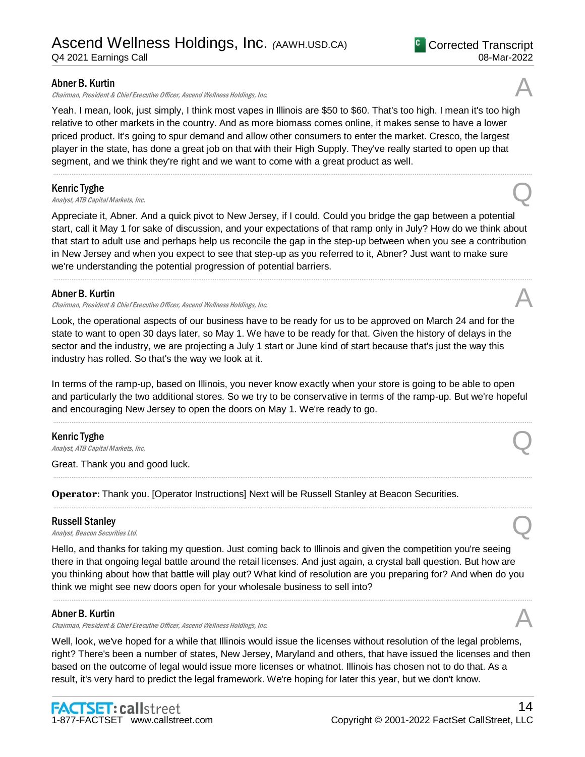Chairman, President & Chief Executive Officer, Ascend Wellness Holdings, Inc.

Yeah. I mean, look, just simply, I think most vapes in Illinois are \$50 to \$60. That's too high. I mean it's too high relative to other markets in the country. And as more biomass comes online, it makes sense to have a lower priced product. It's going to spur demand and allow other consumers to enter the market. Cresco, the largest player in the state, has done a great job on that with their High Supply. They've really started to open up that segment, and we think they're right and we want to come with a great product as well.

.....................................................................................................................................................................................................................................................................

### Kenric Tyghe

**Kenric Tyghe**<br>Analyst, ATB Capital Markets, Inc.  $\bigotimes$ 

Appreciate it, Abner. And a quick pivot to New Jersey, if I could. Could you bridge the gap between a potential start, call it May 1 for sake of discussion, and your expectations of that ramp only in July? How do we think about that start to adult use and perhaps help us reconcile the gap in the step-up between when you see a contribution in New Jersey and when you expect to see that step-up as you referred to it, Abner? Just want to make sure we're understanding the potential progression of potential barriers.

.....................................................................................................................................................................................................................................................................

## Abner B. Kurtin

Chairman, President & Chief Executive Officer, Ascend Wellness Holdings, Inc.

Look, the operational aspects of our business have to be ready for us to be approved on March 24 and for the state to want to open 30 days later, so May 1. We have to be ready for that. Given the history of delays in the sector and the industry, we are projecting a July 1 start or June kind of start because that's just the way this industry has rolled. So that's the way we look at it.

In terms of the ramp-up, based on Illinois, you never know exactly when your store is going to be able to open and particularly the two additional stores. So we try to be conservative in terms of the ramp-up. But we're hopeful and encouraging New Jersey to open the doors on May 1. We're ready to go.

.....................................................................................................................................................................................................................................................................

.....................................................................................................................................................................................................................................................................

.....................................................................................................................................................................................................................................................................

## Kenric Tyghe

**Kenric Tyghe**<br>Analyst, ATB Capital Markets, Inc.  $\bigotimes$ 

Great. Thank you and good luck.

**Operator**: Thank you. [Operator Instructions] Next will be Russell Stanley at Beacon Securities.

#### Russell Stanley

**Russell Stanley**<br>Analyst, Beacon Securities Ltd. Quarter and Containers and Containers and Containers and Containers and Containers

Hello, and thanks for taking my question. Just coming back to Illinois and given the competition you're seeing there in that ongoing legal battle around the retail licenses. And just again, a crystal ball question. But how are you thinking about how that battle will play out? What kind of resolution are you preparing for? And when do you think we might see new doors open for your wholesale business to sell into?

.....................................................................................................................................................................................................................................................................

## Abner B. Kurtin

Chairman, President & Chief Executive Officer, Ascend Wellness Holdings, Inc.

Well, look, we've hoped for a while that Illinois would issue the licenses without resolution of the legal problems, right? There's been a number of states, New Jersey, Maryland and others, that have issued the licenses and then based on the outcome of legal would issue more licenses or whatnot. Illinois has chosen not to do that. As a result, it's very hard to predict the legal framework. We're hoping for later this year, but we don't know.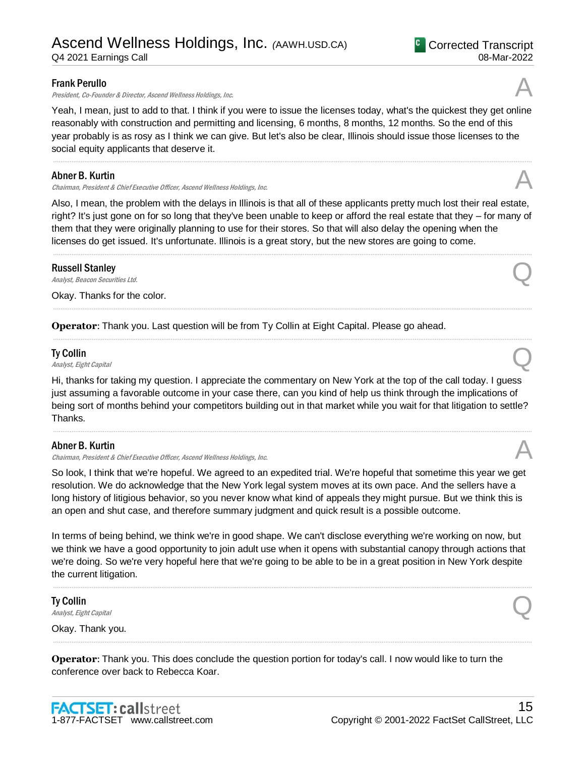President, Co-Founder & Director, Ascend Wellness Holdings, Inc.

Yeah, I mean, just to add to that. I think if you were to issue the licenses today, what's the quickest they get online reasonably with construction and permitting and licensing, 6 months, 8 months, 12 months. So the end of this year probably is as rosy as I think we can give. But let's also be clear, Illinois should issue those licenses to the social equity applicants that deserve it.

.....................................................................................................................................................................................................................................................................

### Abner B. Kurtin

Chairman, President & Chief Executive Officer, Ascend Wellness Holdings, Inc.

Also, I mean, the problem with the delays in Illinois is that all of these applicants pretty much lost their real estate, right? It's just gone on for so long that they've been unable to keep or afford the real estate that they – for many of them that they were originally planning to use for their stores. So that will also delay the opening when the licenses do get issued. It's unfortunate. Illinois is a great story, but the new stores are going to come.

.....................................................................................................................................................................................................................................................................

.....................................................................................................................................................................................................................................................................

.....................................................................................................................................................................................................................................................................

#### Russell Stanley

**Russell Stanley**<br>Analyst, Beacon Securities Ltd. Quarter and Containers and Containers and Containers and Containers and Containers

Okay. Thanks for the color.

**Operator**: Thank you. Last question will be from Ty Collin at Eight Capital. Please go ahead.

## Ty Collin

**Ty Collin Second Line Collin** Collin Constant Capital  $\mathbb{Q}$ 

Hi, thanks for taking my question. I appreciate the commentary on New York at the top of the call today. I guess just assuming a favorable outcome in your case there, can you kind of help us think through the implications of being sort of months behind your competitors building out in that market while you wait for that litigation to settle? Thanks.

.....................................................................................................................................................................................................................................................................

## Abner B. Kurtin

Chairman, President & Chief Executive Officer, Ascend Wellness Holdings, Inc.

So look, I think that we're hopeful. We agreed to an expedited trial. We're hopeful that sometime this year we get resolution. We do acknowledge that the New York legal system moves at its own pace. And the sellers have a long history of litigious behavior, so you never know what kind of appeals they might pursue. But we think this is an open and shut case, and therefore summary judgment and quick result is a possible outcome.

In terms of being behind, we think we're in good shape. We can't disclose everything we're working on now, but we think we have a good opportunity to join adult use when it opens with substantial canopy through actions that we're doing. So we're very hopeful here that we're going to be able to be in a great position in New York despite the current litigation.

.....................................................................................................................................................................................................................................................................

.....................................................................................................................................................................................................................................................................

Ty Collin **Ty Collin**  $\Omega$ <br>Analyst, Eight Capital Quarter of  $\Omega$ Okay. Thank you.

**Operator**: Thank you. This does conclude the question portion for today's call. I now would like to turn the conference over back to Rebecca Koar.